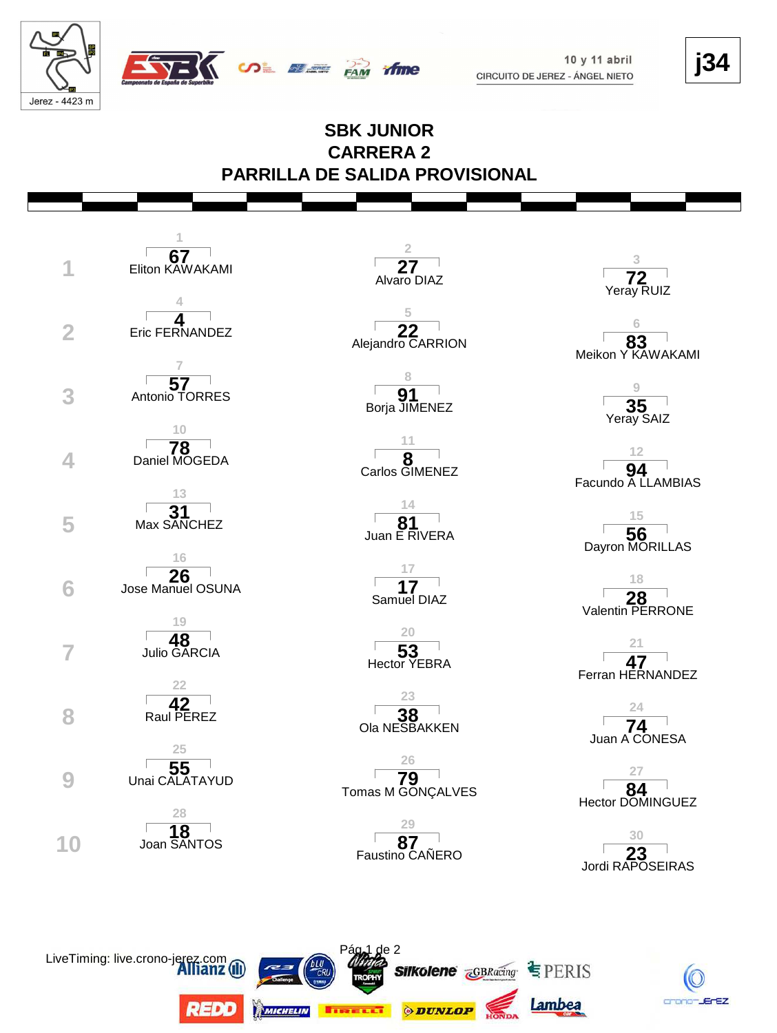LiveTiming: live.crono-jer

REDD

**MICHELIN** 

 $10y11$  abril CIRCUITO DE JEREZ - ÁNGEL NIETO **j34**

## Jerez - 4423 m **SBK JUNIOR CARRERA 2 PARRILLA DE SALIDA PROVISIONAL 1 2 67 3** Eliton KAWAKAMI **1 27** Alvaro DIAZ **72** Yeray RUIZ **4 5 4 6 22 1**<br>**22 22 1 83**<br>**Alejandro CARRION 83** Eric FERNANDEZ 83<br>Meikon Y KAWAKAMI **7 8** Antonio TORRES **57 9 Borja JIMENEZ 3** Antonio TORRES **191**  $35$ <br>Yeray SAIZ **10 11** Daniel MOGEDA **78 12 4 8** Carlos GIMENEZ **94** Facundo A LLAMBIAS **13 14** Max SANCHEZ **31 15** Juan E RIVERA **5 Max SANCHEZ 81 81 81** 56<br>Dayron MORILLAS **16 17 26 18** Jose Manuel OSUNA **6 17** Samuel DIAZ **28** Valentin PERRONE **19 20** Julio GARCIA **48 21 53**<br>Hector YEBRA **7 53**<br> **53**<br> **53**<br> **53 47**<br>Ferran HERNANDEZ **22 23** Raul PEREZ **42**  $\frac{24}{74}$ **8 1 38 1 38 1 74 1 74 1 1 1 1 1 1 1** Juan A CONESA **25 26** Unai CALATAYUD **55 27** Tomas M GONÇALVES **84 9 Unai CALATAYUD 79 79** Hector DOMINGUEZ **28 29** <sup>∣</sup> 1**8** <sup>∣</sup><br>Joan SANTOS **30** Faustino CAÑERO **23 10 8 87 87 87 87** Jordi RAPOSEIRAS

**SALE AND TIME** 

de 2

**EIRELLT ODUNLOP** 

**Silkolene**  $\overline{\mathbf{c}}$ GBRacing  $\subseteq$  PERIS

Lambea

crono-JErEZ